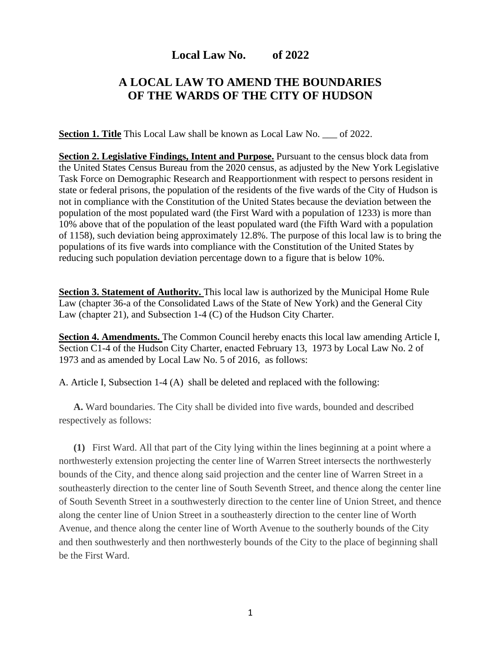## **Local Law No. of 2022**

## **A LOCAL LAW TO AMEND THE BOUNDARIES OF THE WARDS OF THE CITY OF HUDSON**

**Section 1. Title** This Local Law shall be known as Local Law No. \_\_\_ of 2022.

**Section 2. Legislative Findings, Intent and Purpose.** Pursuant to the census block data from the United States Census Bureau from the 2020 census, as adjusted by the New York Legislative Task Force on Demographic Research and Reapportionment with respect to persons resident in state or federal prisons, the population of the residents of the five wards of the City of Hudson is not in compliance with the Constitution of the United States because the deviation between the population of the most populated ward (the First Ward with a population of 1233) is more than 10% above that of the population of the least populated ward (the Fifth Ward with a population of 1158), such deviation being approximately 12.8%. The purpose of this local law is to bring the populations of its five wards into compliance with the Constitution of the United States by reducing such population deviation percentage down to a figure that is below 10%.

**Section 3. Statement of Authority.** This local law is authorized by the Municipal Home Rule Law (chapter 36-a of the Consolidated Laws of the State of New York) and the General City Law (chapter 21), and Subsection 1-4 (C) of the Hudson City Charter.

**Section 4. Amendments.** The Common Council hereby enacts this local law amending Article I, Section C1-4 of the Hudson City Charter, enacted February 13, 1973 by Local Law No. 2 of 1973 and as amended by Local Law No. 5 of 2016, as follows:

A. Article I, Subsection 1-4 (A) shall be deleted and replaced with the following:

**[A.](https://ecode360.com/13594837#13594837)** Ward boundaries. The City shall be divided into five wards, bounded and described respectively as follows:

**[\(1\)](https://ecode360.com/32105448#32105448)** First Ward. All that part of the City lying within the lines beginning at a point where a northwesterly extension projecting the center line of Warren Street intersects the northwesterly bounds of the City, and thence along said projection and the center line of Warren Street in a southeasterly direction to the center line of South Seventh Street, and thence along the center line of South Seventh Street in a southwesterly direction to the center line of Union Street, and thence along the center line of Union Street in a southeasterly direction to the center line of Worth Avenue, and thence along the center line of Worth Avenue to the southerly bounds of the City and then southwesterly and then northwesterly bounds of the City to the place of beginning shall be the First Ward.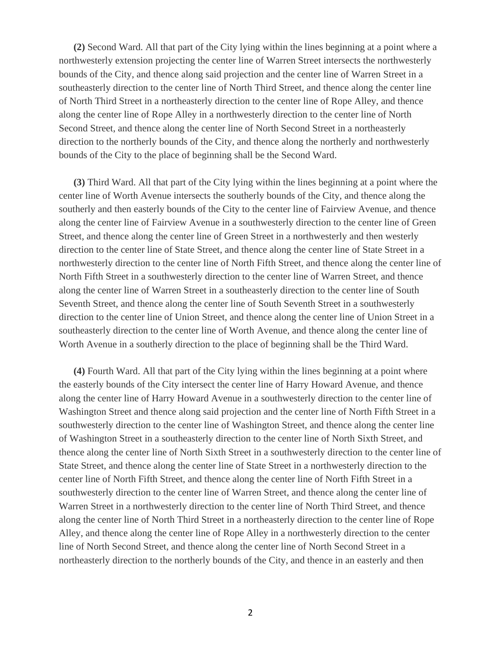**[\(2\)](https://ecode360.com/32105449#32105449)** Second Ward. All that part of the City lying within the lines beginning at a point where a northwesterly extension projecting the center line of Warren Street intersects the northwesterly bounds of the City, and thence along said projection and the center line of Warren Street in a southeasterly direction to the center line of North Third Street, and thence along the center line of North Third Street in a northeasterly direction to the center line of Rope Alley, and thence along the center line of Rope Alley in a northwesterly direction to the center line of North Second Street, and thence along the center line of North Second Street in a northeasterly direction to the northerly bounds of the City, and thence along the northerly and northwesterly bounds of the City to the place of beginning shall be the Second Ward.

**[\(3\)](https://ecode360.com/32105450#32105450)** Third Ward. All that part of the City lying within the lines beginning at a point where the center line of Worth Avenue intersects the southerly bounds of the City, and thence along the southerly and then easterly bounds of the City to the center line of Fairview Avenue, and thence along the center line of Fairview Avenue in a southwesterly direction to the center line of Green Street, and thence along the center line of Green Street in a northwesterly and then westerly direction to the center line of State Street, and thence along the center line of State Street in a northwesterly direction to the center line of North Fifth Street, and thence along the center line of North Fifth Street in a southwesterly direction to the center line of Warren Street, and thence along the center line of Warren Street in a southeasterly direction to the center line of South Seventh Street, and thence along the center line of South Seventh Street in a southwesterly direction to the center line of Union Street, and thence along the center line of Union Street in a southeasterly direction to the center line of Worth Avenue, and thence along the center line of Worth Avenue in a southerly direction to the place of beginning shall be the Third Ward.

**[\(4\)](https://ecode360.com/32105451#32105451)** Fourth Ward. All that part of the City lying within the lines beginning at a point where the easterly bounds of the City intersect the center line of Harry Howard Avenue, and thence along the center line of Harry Howard Avenue in a southwesterly direction to the center line of Washington Street and thence along said projection and the center line of North Fifth Street in a southwesterly direction to the center line of Washington Street, and thence along the center line of Washington Street in a southeasterly direction to the center line of North Sixth Street, and thence along the center line of North Sixth Street in a southwesterly direction to the center line of State Street, and thence along the center line of State Street in a northwesterly direction to the center line of North Fifth Street, and thence along the center line of North Fifth Street in a southwesterly direction to the center line of Warren Street, and thence along the center line of Warren Street in a northwesterly direction to the center line of North Third Street, and thence along the center line of North Third Street in a northeasterly direction to the center line of Rope Alley, and thence along the center line of Rope Alley in a northwesterly direction to the center line of North Second Street, and thence along the center line of North Second Street in a northeasterly direction to the northerly bounds of the City, and thence in an easterly and then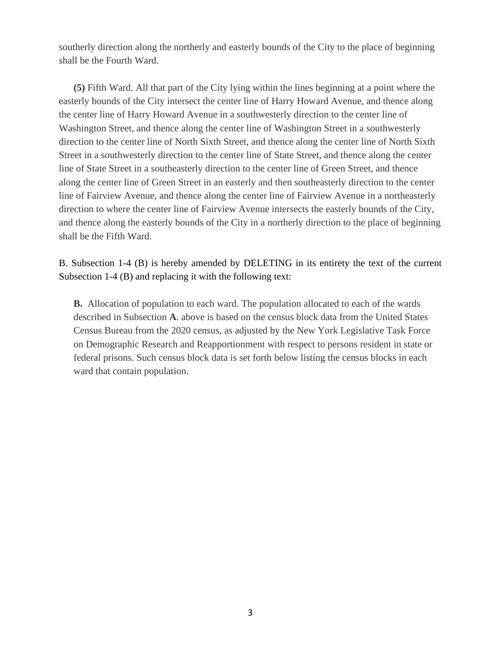southerly direction along the northerly and easterly bounds of the City to the place of beginning shall be the Fourth Ward.

**[\(5\)](https://ecode360.com/32105452#32105452)** Fifth Ward. All that part of the City lying within the lines beginning at a point where the easterly bounds of the City intersect the center line of Harry Howard Avenue, and thence along the center line of Harry Howard Avenue in a southwesterly direction to the center line of Washington Street, and thence along the center line of Washington Street in a southwesterly direction to the center line of North Sixth Street, and thence along the center line of North Sixth Street in a southwesterly direction to the center line of State Street, and thence along the center line of State Street in a southeasterly direction to the center line of Green Street, and thence along the center line of Green Street in an easterly and then southeasterly direction to the center line of Fairview Avenue, and thence along the center line of Fairview Avenue in a northeasterly direction to where the center line of Fairview Avenue intersects the easterly bounds of the City, and thence along the easterly bounds of the City in a northerly direction to the place of beginning shall be the Fifth Ward.

B. Subsection 1-4 (B) is hereby amended by DELETING in its entirety the text of the current Subsection 1-4 (B) and replacing it with the following text:

**[B.](https://ecode360.com/13594838#13594838)** Allocation of population to each ward. The population allocated to each of the wards described in Subsection **[A](https://ecode360.com/13594837#13594837)**. above is based on the census block data from the United States Census Bureau from the 2020 census, as adjusted by the New York Legislative Task Force on Demographic Research and Reapportionment with respect to persons resident in state or federal prisons. Such census block data is set forth below listing the census blocks in each ward that contain population.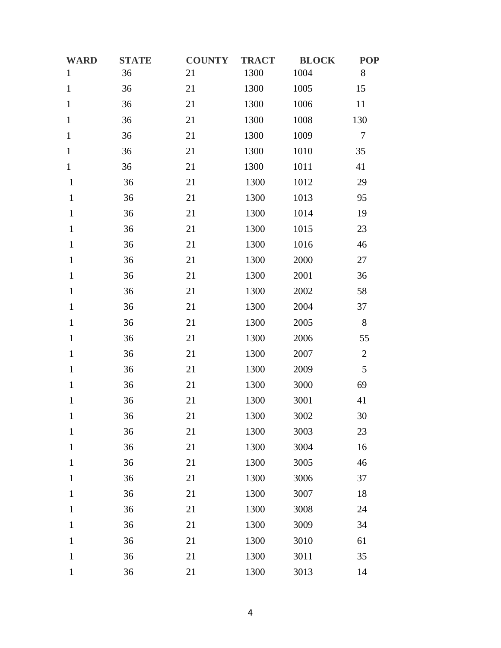| <b>WARD</b>  | <b>STATE</b> | <b>COUNTY</b> | <b>TRACT</b> | <b>BLOCK</b> | <b>POP</b>   |
|--------------|--------------|---------------|--------------|--------------|--------------|
| $\mathbf{1}$ | 36           | 21            | 1300         | 1004         | 8            |
| $\mathbf{1}$ | 36           | 21            | 1300         | 1005         | 15           |
| $\mathbf 1$  | 36           | 21            | 1300         | 1006         | 11           |
| $\mathbf{1}$ | 36           | 21            | 1300         | 1008         | 130          |
| $\,1\,$      | 36           | 21            | 1300         | 1009         | $\tau$       |
| $\mathbf{1}$ | 36           | 21            | 1300         | 1010         | 35           |
| $\mathbf{1}$ | 36           | 21            | 1300         | 1011         | 41           |
| $\mathbf{1}$ | 36           | 21            | 1300         | 1012         | 29           |
| $\mathbf{1}$ | 36           | 21            | 1300         | 1013         | 95           |
| $\mathbf{1}$ | 36           | 21            | 1300         | 1014         | 19           |
| $\mathbf{1}$ | 36           | 21            | 1300         | 1015         | 23           |
| $\mathbf{1}$ | 36           | 21            | 1300         | 1016         | 46           |
| $\mathbf{1}$ | 36           | 21            | 1300         | 2000         | 27           |
| $\mathbf{1}$ | 36           | 21            | 1300         | 2001         | 36           |
| $\mathbf{1}$ | 36           | 21            | 1300         | 2002         | 58           |
| $\mathbf{1}$ | 36           | 21            | 1300         | 2004         | 37           |
| $\mathbf{1}$ | 36           | 21            | 1300         | 2005         | $8\,$        |
| $\mathbf{1}$ | 36           | 21            | 1300         | 2006         | 55           |
| $\mathbf{1}$ | 36           | 21            | 1300         | 2007         | $\mathbf{2}$ |
| $\mathbf{1}$ | 36           | 21            | 1300         | 2009         | 5            |
| $\mathbf{1}$ | 36           | 21            | 1300         | 3000         | 69           |
| $\mathbf{1}$ | 36           | 21            | 1300         | 3001         | 41           |
| $\mathbf{1}$ | 36           | 21            | 1300         | 3002         | 30           |
| $\mathbf{1}$ | 36           | 21            | 1300         | 3003         | 23           |
| $\mathbf{1}$ | 36           | 21            | 1300         | 3004         | 16           |
| $\mathbf{1}$ | 36           | 21            | 1300         | 3005         | 46           |
| $\mathbf{1}$ | 36           | 21            | 1300         | 3006         | 37           |
| $\mathbf{1}$ | 36           | 21            | 1300         | 3007         | 18           |
| $\mathbf{1}$ | 36           | 21            | 1300         | 3008         | 24           |
| $\mathbf{1}$ | 36           | 21            | 1300         | 3009         | 34           |
| $\mathbf{1}$ | 36           | 21            | 1300         | 3010         | 61           |
| $\mathbf{1}$ | 36           | 21            | 1300         | 3011         | 35           |
| $\,1$        | 36           | 21            | 1300         | 3013         | 14           |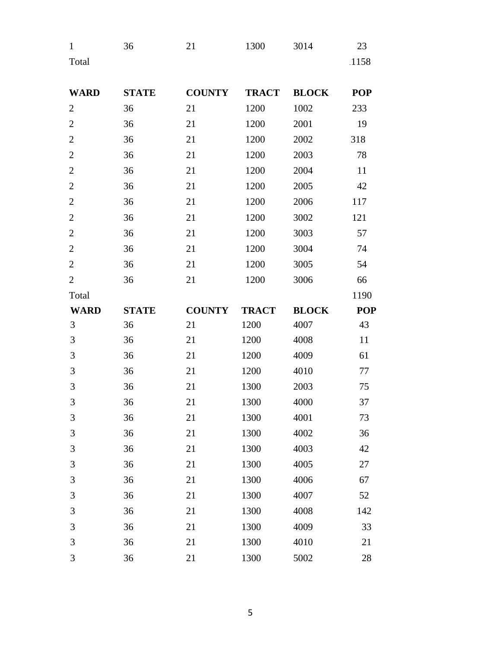| $\mathbf{1}$<br>Total | 36           | 21            | 1300         | 3014         | 23<br>1158 |
|-----------------------|--------------|---------------|--------------|--------------|------------|
| <b>WARD</b>           | <b>STATE</b> | <b>COUNTY</b> | <b>TRACT</b> | <b>BLOCK</b> | <b>POP</b> |
| $\overline{2}$        | 36           | 21            | 1200         | 1002         | 233        |
| $\overline{2}$        | 36           | 21            | 1200         | 2001         | 19         |
| $\overline{2}$        | 36           | 21            | 1200         | 2002         | 318        |
| $\overline{2}$        | 36           | 21            | 1200         | 2003         | 78         |
| $\overline{2}$        | 36           | 21            | 1200         | 2004         | 11         |
| $\overline{2}$        | 36           | 21            | 1200         | 2005         | 42         |
| $\overline{2}$        | 36           | 21            | 1200         | 2006         | 117        |
| $\overline{2}$        | 36           | 21            | 1200         | 3002         | 121        |
| $\overline{2}$        | 36           | 21            | 1200         | 3003         | 57         |
| $\overline{2}$        | 36           | 21            | 1200         | 3004         | 74         |
| $\overline{2}$        | 36           | 21            | 1200         | 3005         | 54         |
| $\overline{2}$        | 36           | 21            | 1200         | 3006         | 66         |

| Total          |              |               |              |              | 1190       |
|----------------|--------------|---------------|--------------|--------------|------------|
| <b>WARD</b>    | <b>STATE</b> | <b>COUNTY</b> | <b>TRACT</b> | <b>BLOCK</b> | <b>POP</b> |
| 3              | 36           | 21            | 1200         | 4007         | 43         |
| 3              | 36           | 21            | 1200         | 4008         | 11         |
| $\mathfrak{Z}$ | 36           | 21            | 1200         | 4009         | 61         |
| 3              | 36           | 21            | 1200         | 4010         | 77         |
| 3              | 36           | 21            | 1300         | 2003         | 75         |
| 3              | 36           | 21            | 1300         | 4000         | 37         |
| 3              | 36           | 21            | 1300         | 4001         | 73         |
| 3              | 36           | 21            | 1300         | 4002         | 36         |
| 3              | 36           | 21            | 1300         | 4003         | 42         |
| 3              | 36           | 21            | 1300         | 4005         | 27         |
| $\mathfrak{Z}$ | 36           | 21            | 1300         | 4006         | 67         |
| 3              | 36           | 21            | 1300         | 4007         | 52         |
| 3              | 36           | 21            | 1300         | 4008         | 142        |
| 3              | 36           | 21            | 1300         | 4009         | 33         |
| 3              | 36           | 21            | 1300         | 4010         | 21         |
|                |              |               |              |              |            |

36 21 1300 5002 28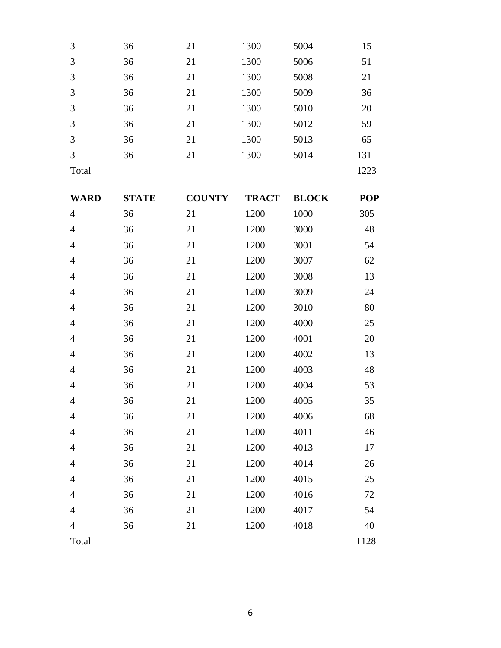| 3     | 36 | 21 | 1300 | 5004 | 15   |
|-------|----|----|------|------|------|
| 3     | 36 | 21 | 1300 | 5006 | 51   |
| 3     | 36 | 21 | 1300 | 5008 | 21   |
| 3     | 36 | 21 | 1300 | 5009 | 36   |
| 3     | 36 | 21 | 1300 | 5010 | 20   |
| 3     | 36 | 21 | 1300 | 5012 | 59   |
| 3     | 36 | 21 | 1300 | 5013 | 65   |
| 3     | 36 | 21 | 1300 | 5014 | 131  |
| Total |    |    |      |      | 1223 |

| <b>WARD</b>    | <b>STATE</b> | <b>COUNTY</b> | <b>TRACT</b> | <b>BLOCK</b> | <b>POP</b> |
|----------------|--------------|---------------|--------------|--------------|------------|
| $\overline{4}$ | 36           | 21            | 1200         | 1000         | 305        |
| $\overline{4}$ | 36           | 21            | 1200         | 3000         | 48         |
| $\overline{4}$ | 36           | 21            | 1200         | 3001         | 54         |
| $\overline{4}$ | 36           | 21            | 1200         | 3007         | 62         |
| $\overline{4}$ | 36           | 21            | 1200         | 3008         | 13         |
| $\overline{4}$ | 36           | 21            | 1200         | 3009         | 24         |
| $\overline{4}$ | 36           | 21            | 1200         | 3010         | 80         |
| $\overline{4}$ | 36           | 21            | 1200         | 4000         | 25         |
| $\overline{4}$ | 36           | 21            | 1200         | 4001         | 20         |
| $\overline{4}$ | 36           | 21            | 1200         | 4002         | 13         |
| 4              | 36           | 21            | 1200         | 4003         | 48         |
| $\overline{4}$ | 36           | 21            | 1200         | 4004         | 53         |
| $\overline{4}$ | 36           | 21            | 1200         | 4005         | 35         |
| $\overline{4}$ | 36           | 21            | 1200         | 4006         | 68         |
| $\overline{4}$ | 36           | 21            | 1200         | 4011         | 46         |
| $\overline{4}$ | 36           | 21            | 1200         | 4013         | 17         |
| $\overline{4}$ | 36           | 21            | 1200         | 4014         | 26         |
| $\overline{4}$ | 36           | 21            | 1200         | 4015         | 25         |
| $\overline{4}$ | 36           | 21            | 1200         | 4016         | 72         |
| $\overline{4}$ | 36           | 21            | 1200         | 4017         | 54         |
| $\overline{4}$ | 36           | 21            | 1200         | 4018         | 40         |
| Total          |              |               |              |              | 1128       |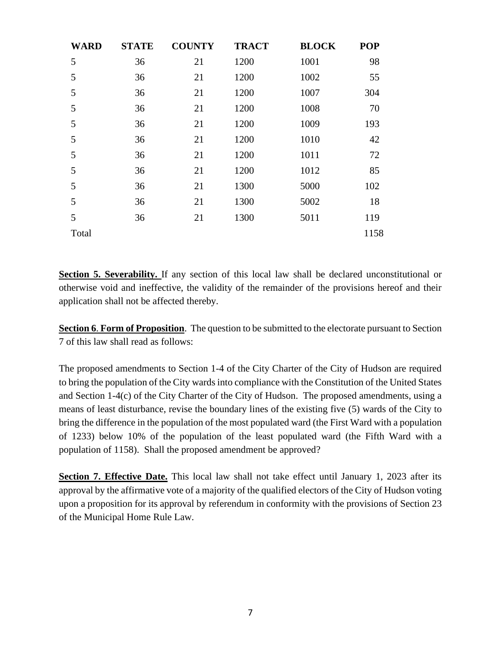| <b>WARD</b> | <b>STATE</b> | <b>COUNTY</b> | <b>TRACT</b> | <b>BLOCK</b> | <b>POP</b> |
|-------------|--------------|---------------|--------------|--------------|------------|
| 5           | 36           | 21            | 1200         | 1001         | 98         |
| 5           | 36           | 21            | 1200         | 1002         | 55         |
| 5           | 36           | 21            | 1200         | 1007         | 304        |
| 5           | 36           | 21            | 1200         | 1008         | 70         |
| 5           | 36           | 21            | 1200         | 1009         | 193        |
| 5           | 36           | 21            | 1200         | 1010         | 42         |
| 5           | 36           | 21            | 1200         | 1011         | 72         |
| 5           | 36           | 21            | 1200         | 1012         | 85         |
| 5           | 36           | 21            | 1300         | 5000         | 102        |
| 5           | 36           | 21            | 1300         | 5002         | 18         |
| 5           | 36           | 21            | 1300         | 5011         | 119        |
| Total       |              |               |              |              | 1158       |

**Section 5. Severability.** If any section of this local law shall be declared unconstitutional or otherwise void and ineffective, the validity of the remainder of the provisions hereof and their application shall not be affected thereby.

**Section 6**. **Form of Proposition**. The question to be submitted to the electorate pursuant to Section 7 of this law shall read as follows:

The proposed amendments to Section 1-4 of the City Charter of the City of Hudson are required to bring the population of the City wards into compliance with the Constitution of the United States and Section 1-4(c) of the City Charter of the City of Hudson. The proposed amendments, using a means of least disturbance, revise the boundary lines of the existing five (5) wards of the City to bring the difference in the population of the most populated ward (the First Ward with a population of 1233) below 10% of the population of the least populated ward (the Fifth Ward with a population of 1158). Shall the proposed amendment be approved?

**Section 7. Effective Date.** This local law shall not take effect until January 1, 2023 after its approval by the affirmative vote of a majority of the qualified electors of the City of Hudson voting upon a proposition for its approval by referendum in conformity with the provisions of Section 23 of the Municipal Home Rule Law.